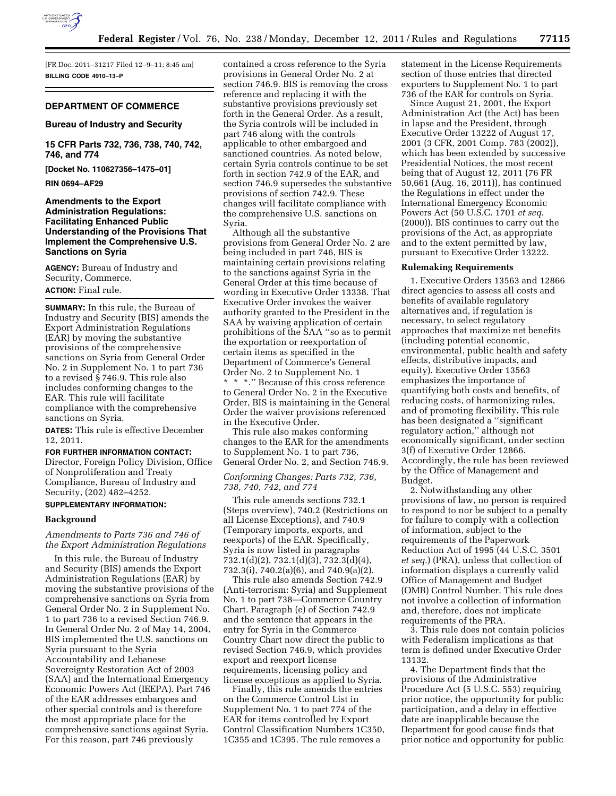

[FR Doc. 2011–31217 Filed 12–9–11; 8:45 am] **BILLING CODE 4910–13–P** 

## **DEPARTMENT OF COMMERCE**

#### **Bureau of Industry and Security**

**15 CFR Parts 732, 736, 738, 740, 742, 746, and 774** 

**[Docket No. 110627356–1475–01]** 

**RIN 0694–AF29** 

## **Amendments to the Export Administration Regulations: Facilitating Enhanced Public Understanding of the Provisions That Implement the Comprehensive U.S. Sanctions on Syria**

**AGENCY:** Bureau of Industry and Security, Commerce.

# **ACTION:** Final rule.

**SUMMARY:** In this rule, the Bureau of Industry and Security (BIS) amends the Export Administration Regulations (EAR) by moving the substantive provisions of the comprehensive sanctions on Syria from General Order No. 2 in Supplement No. 1 to part 736 to a revised § 746.9. This rule also includes conforming changes to the EAR. This rule will facilitate compliance with the comprehensive sanctions on Syria.

**DATES:** This rule is effective December 12, 2011.

#### **FOR FURTHER INFORMATION CONTACT:**

Director, Foreign Policy Division, Office of Nonproliferation and Treaty Compliance, Bureau of Industry and Security, (202) 482–4252.

# **SUPPLEMENTARY INFORMATION:**

## **Background**

*Amendments to Parts 736 and 746 of the Export Administration Regulations* 

In this rule, the Bureau of Industry and Security (BIS) amends the Export Administration Regulations (EAR) by moving the substantive provisions of the comprehensive sanctions on Syria from General Order No. 2 in Supplement No. 1 to part 736 to a revised Section 746.9. In General Order No. 2 of May 14, 2004, BIS implemented the U.S. sanctions on Syria pursuant to the Syria Accountability and Lebanese Sovereignty Restoration Act of 2003 (SAA) and the International Emergency Economic Powers Act (IEEPA). Part 746 of the EAR addresses embargoes and other special controls and is therefore the most appropriate place for the comprehensive sanctions against Syria. For this reason, part 746 previously

contained a cross reference to the Syria provisions in General Order No. 2 at section 746.9. BIS is removing the cross reference and replacing it with the substantive provisions previously set forth in the General Order. As a result, the Syria controls will be included in part 746 along with the controls applicable to other embargoed and sanctioned countries. As noted below, certain Syria controls continue to be set forth in section 742.9 of the EAR, and section 746.9 supersedes the substantive provisions of section 742.9. These changes will facilitate compliance with the comprehensive U.S. sanctions on Syria.

Although all the substantive provisions from General Order No. 2 are being included in part 746, BIS is maintaining certain provisions relating to the sanctions against Syria in the General Order at this time because of wording in Executive Order 13338. That Executive Order invokes the waiver authority granted to the President in the SAA by waiving application of certain prohibitions of the SAA ''so as to permit the exportation or reexportation of certain items as specified in the Department of Commerce's General Order No. 2 to Supplement No. 1 \* \* \*.'' Because of this cross reference to General Order No. 2 in the Executive Order, BIS is maintaining in the General Order the waiver provisions referenced in the Executive Order.

This rule also makes conforming changes to the EAR for the amendments to Supplement No. 1 to part 736, General Order No. 2, and Section 746.9.

## *Conforming Changes: Parts 732, 736, 738, 740, 742, and 774*

This rule amends sections 732.1 (Steps overview), 740.2 (Restrictions on all License Exceptions), and 740.9 (Temporary imports, exports, and reexports) of the EAR. Specifically, Syria is now listed in paragraphs 732.1(d)(2), 732.1(d)(3), 732.3(d)(4), 732.3(i), 740.2(a)(6), and 740.9(a)(2).

This rule also amends Section 742.9 (Anti-terrorism: Syria) and Supplement No. 1 to part 738—Commerce Country Chart. Paragraph (e) of Section 742.9 and the sentence that appears in the entry for Syria in the Commerce Country Chart now direct the public to revised Section 746.9, which provides export and reexport license requirements, licensing policy and license exceptions as applied to Syria.

Finally, this rule amends the entries on the Commerce Control List in Supplement No. 1 to part 774 of the EAR for items controlled by Export Control Classification Numbers 1C350, 1C355 and 1C395. The rule removes a

statement in the License Requirements section of those entries that directed exporters to Supplement No. 1 to part 736 of the EAR for controls on Syria.

Since August 21, 2001, the Export Administration Act (the Act) has been in lapse and the President, through Executive Order 13222 of August 17, 2001 (3 CFR, 2001 Comp. 783 (2002)), which has been extended by successive Presidential Notices, the most recent being that of August 12, 2011 (76 FR 50,661 (Aug. 16, 2011)), has continued the Regulations in effect under the International Emergency Economic Powers Act (50 U.S.C. 1701 *et seq.*  (2000)). BIS continues to carry out the provisions of the Act, as appropriate and to the extent permitted by law, pursuant to Executive Order 13222.

#### **Rulemaking Requirements**

1. Executive Orders 13563 and 12866 direct agencies to assess all costs and benefits of available regulatory alternatives and, if regulation is necessary, to select regulatory approaches that maximize net benefits (including potential economic, environmental, public health and safety effects, distributive impacts, and equity). Executive Order 13563 emphasizes the importance of quantifying both costs and benefits, of reducing costs, of harmonizing rules, and of promoting flexibility. This rule has been designated a ''significant regulatory action,'' although not economically significant, under section 3(f) of Executive Order 12866. Accordingly, the rule has been reviewed by the Office of Management and Budget.

2. Notwithstanding any other provisions of law, no person is required to respond to nor be subject to a penalty for failure to comply with a collection of information, subject to the requirements of the Paperwork Reduction Act of 1995 (44 U.S.C. 3501 *et seq.*) (PRA), unless that collection of information displays a currently valid Office of Management and Budget (OMB) Control Number. This rule does not involve a collection of information and, therefore, does not implicate requirements of the PRA.

3. This rule does not contain policies with Federalism implications as that term is defined under Executive Order 13132.

4. The Department finds that the provisions of the Administrative Procedure Act (5 U.S.C. 553) requiring prior notice, the opportunity for public participation, and a delay in effective date are inapplicable because the Department for good cause finds that prior notice and opportunity for public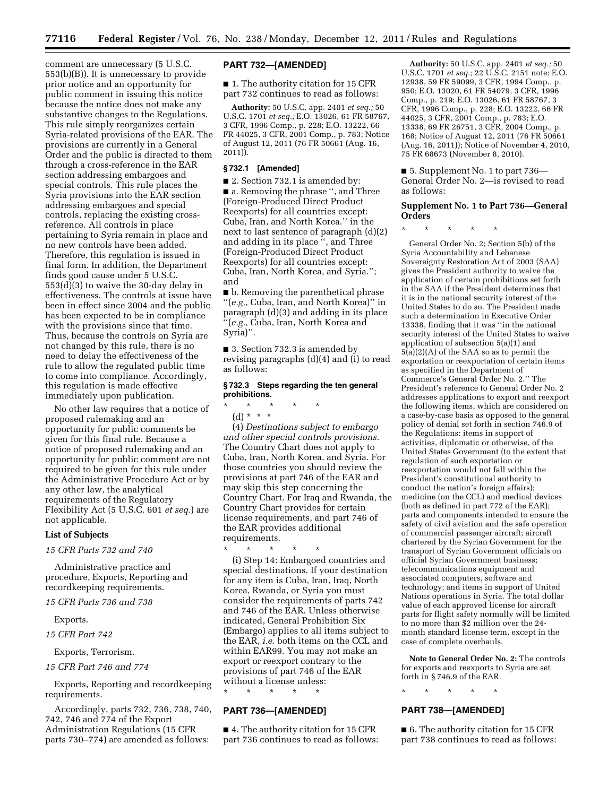comment are unnecessary (5 U.S.C. 553(b)(B)). It is unnecessary to provide prior notice and an opportunity for public comment in issuing this notice because the notice does not make any substantive changes to the Regulations. This rule simply reorganizes certain Syria-related provisions of the EAR. The provisions are currently in a General Order and the public is directed to them through a cross-reference in the EAR section addressing embargoes and special controls. This rule places the Syria provisions into the EAR section addressing embargoes and special controls, replacing the existing crossreference. All controls in place pertaining to Syria remain in place and no new controls have been added. Therefore, this regulation is issued in final form. In addition, the Department finds good cause under 5 U.S.C. 553(d)(3) to waive the 30-day delay in effectiveness. The controls at issue have been in effect since 2004 and the public has been expected to be in compliance with the provisions since that time. Thus, because the controls on Syria are not changed by this rule, there is no need to delay the effectiveness of the rule to allow the regulated public time to come into compliance. Accordingly, this regulation is made effective immediately upon publication.

No other law requires that a notice of proposed rulemaking and an opportunity for public comments be given for this final rule. Because a notice of proposed rulemaking and an opportunity for public comment are not required to be given for this rule under the Administrative Procedure Act or by any other law, the analytical requirements of the Regulatory Flexibility Act (5 U.S.C. 601 *et seq.*) are not applicable.

### **List of Subjects**

## *15 CFR Parts 732 and 740*

Administrative practice and procedure, Exports, Reporting and recordkeeping requirements.

*15 CFR Parts 736 and 738* 

Exports.

*15 CFR Part 742* 

Exports, Terrorism.

*15 CFR Part 746 and 774* 

Exports, Reporting and recordkeeping requirements.

Accordingly, parts 732, 736, 738, 740, 742, 746 and 774 of the Export Administration Regulations (15 CFR parts 730–774) are amended as follows:

## **PART 732—[AMENDED]**

■ 1. The authority citation for 15 CFR part 732 continues to read as follows:

**Authority:** 50 U.S.C. app. 2401 *et seq.;* 50 U.S.C. 1701 *et seq.;* E.O. 13026, 61 FR 58767, 3 CFR, 1996 Comp., p. 228; E.O. 13222, 66 FR 44025, 3 CFR, 2001 Comp., p. 783; Notice of August 12, 2011 (76 FR 50661 (Aug. 16,  $2011$ ).

### **§ 732.1 [Amended]**

■ 2. Section 732.1 is amended by: ■ a. Removing the phrase ", and Three (Foreign-Produced Direct Product Reexports) for all countries except: Cuba, Iran, and North Korea.'' in the next to last sentence of paragraph (d)(2) and adding in its place '', and Three (Foreign-Produced Direct Product Reexports) for all countries except: Cuba, Iran, North Korea, and Syria.''; and

■ b. Removing the parenthetical phrase ''(*e.g.,* Cuba, Iran, and North Korea)'' in paragraph (d)(3) and adding in its place ''(*e.g.,* Cuba, Iran, North Korea and Syria)''.

■ 3. Section 732.3 is amended by revising paragraphs (d)(4) and (i) to read as follows:

## **§ 732.3 Steps regarding the ten general prohibitions.**

\* \* \* \* \*  $(d) * * * *$ 

(4) *Destinations subject to embargo and other special controls provisions.*  The Country Chart does not apply to Cuba, Iran, North Korea, and Syria. For those countries you should review the provisions at part 746 of the EAR and may skip this step concerning the Country Chart. For Iraq and Rwanda, the Country Chart provides for certain license requirements, and part 746 of the EAR provides additional requirements.

\* \* \* \* \*

(i) Step 14: Embargoed countries and special destinations. If your destination for any item is Cuba, Iran, Iraq, North Korea, Rwanda, or Syria you must consider the requirements of parts 742 and 746 of the EAR. Unless otherwise indicated, General Prohibition Six (Embargo) applies to all items subject to the EAR, *i.e.* both items on the CCL and within EAR99. You may not make an export or reexport contrary to the provisions of part 746 of the EAR without a license unless:

\* \* \* \* \*

# **PART 736—[AMENDED]**

■ 4. The authority citation for 15 CFR part 736 continues to read as follows:

**Authority:** 50 U.S.C. app. 2401 *et seq.;* 50 U.S.C. 1701 *et seq.;* 22 U.S.C. 2151 note; E.O. 12938, 59 FR 59099, 3 CFR, 1994 Comp., p. 950; E.O. 13020, 61 FR 54079, 3 CFR, 1996 Comp., p. 219; E.O. 13026, 61 FR 58767, 3 CFR, 1996 Comp., p. 228; E.O. 13222, 66 FR 44025, 3 CFR, 2001 Comp., p. 783; E.O. 13338, 69 FR 26751, 3 CFR, 2004 Comp., p. 168; Notice of August 12, 2011 (76 FR 50661 (Aug. 16, 2011)); Notice of November 4, 2010, 75 FR 68673 (November 8, 2010).

■ 5. Supplement No. 1 to part 736— General Order No. 2—is revised to read as follows:

## **Supplement No. 1 to Part 736—General Orders**

\* \* \* \* \*

General Order No. 2; Section 5(b) of the Syria Accountability and Lebanese Sovereignty Restoration Act of 2003 (SAA) gives the President authority to waive the application of certain prohibitions set forth in the SAA if the President determines that it is in the national security interest of the United States to do so. The President made such a determination in Executive Order 13338, finding that it was ''in the national security interest of the United States to waive application of subsection 5(a)(1) and  $5(a)(2)(A)$  of the SAA so as to permit the exportation or reexportation of certain items as specified in the Department of Commerce's General Order No. 2.'' The President's reference to General Order No. 2 addresses applications to export and reexport the following items, which are considered on a case-by-case basis as opposed to the general policy of denial set forth in section 746.9 of the Regulations: items in support of activities, diplomatic or otherwise, of the United States Government (to the extent that regulation of such exportation or reexportation would not fall within the President's constitutional authority to conduct the nation's foreign affairs); medicine (on the CCL) and medical devices (both as defined in part 772 of the EAR); parts and components intended to ensure the safety of civil aviation and the safe operation of commercial passenger aircraft; aircraft chartered by the Syrian Government for the transport of Syrian Government officials on official Syrian Government business; telecommunications equipment and associated computers, software and technology; and items in support of United Nations operations in Syria. The total dollar value of each approved license for aircraft parts for flight safety normally will be limited to no more than \$2 million over the 24 month standard license term, except in the case of complete overhauls.

**Note to General Order No. 2:** The controls for exports and reexports to Syria are set forth in § 746.9 of the EAR.

\* \* \* \* \*

# **PART 738—[AMENDED]**

■ 6. The authority citation for 15 CFR part 738 continues to read as follows: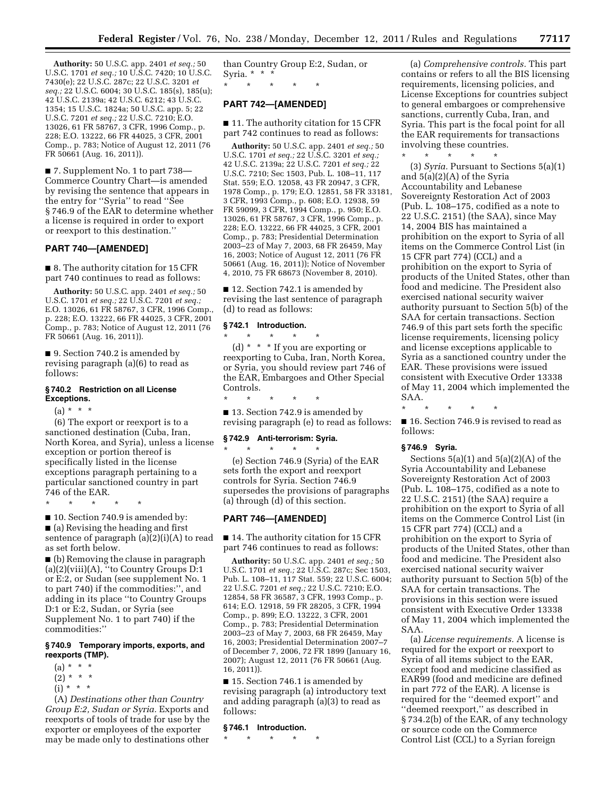**Authority:** 50 U.S.C. app. 2401 *et seq.;* 50 U.S.C. 1701 *et seq.;* 10 U.S.C. 7420; 10 U.S.C. 7430(e); 22 U.S.C. 287c; 22 U.S.C. 3201 *et seq.;* 22 U.S.C. 6004; 30 U.S.C. 185(s), 185(u); 42 U.S.C. 2139a; 42 U.S.C. 6212; 43 U.S.C. 1354; 15 U.S.C. 1824a; 50 U.S.C. app. 5; 22 U.S.C. 7201 *et seq.;* 22 U.S.C. 7210; E.O. 13026, 61 FR 58767, 3 CFR, 1996 Comp., p. 228; E.O. 13222, 66 FR 44025, 3 CFR, 2001 Comp., p. 783; Notice of August 12, 2011 (76 FR 50661 (Aug. 16, 2011)).

■ 7. Supplement No. 1 to part 738– Commerce Country Chart—is amended by revising the sentence that appears in the entry for ''Syria'' to read ''See § 746.9 of the EAR to determine whether a license is required in order to export or reexport to this destination."

## **PART 740—[AMENDED]**

■ 8. The authority citation for 15 CFR part 740 continues to read as follows:

**Authority:** 50 U.S.C. app. 2401 *et seq.;* 50 U.S.C. 1701 *et seq.;* 22 U.S.C. 7201 *et seq.;*  E.O. 13026, 61 FR 58767, 3 CFR, 1996 Comp., p. 228; E.O. 13222, 66 FR 44025, 3 CFR, 2001 Comp., p. 783; Notice of August 12, 2011 (76 FR 50661 (Aug. 16, 2011)).

■ 9. Section 740.2 is amended by revising paragraph (a)(6) to read as follows:

## **§ 740.2 Restriction on all License Exceptions.**

 $(a) * * * *$ 

(6) The export or reexport is to a sanctioned destination (Cuba, Iran, North Korea, and Syria), unless a license exception or portion thereof is specifically listed in the license exceptions paragraph pertaining to a particular sanctioned country in part 746 of the EAR.

\* \* \* \* \*

■ 10. Section 740.9 is amended by: ■ (a) Revising the heading and first sentence of paragraph (a)(2)(i)(A) to read as set forth below.

■ (b) Removing the clause in paragraph (a)(2)(viii)(A), ''to Country Groups D:1 or E:2, or Sudan (see supplement No. 1 to part 740) if the commodities:'', and adding in its place ''to Country Groups D:1 or E:2, Sudan, or Syria (see Supplement No. 1 to part 740) if the commodities:''

# **§ 740.9 Temporary imports, exports, and reexports (TMP).**

- $(a) * * * *$
- $(2) * * * *$
- $(i) * * * *$

(A) *Destinations other than Country Group E:2, Sudan or Syria.* Exports and reexports of tools of trade for use by the exporter or employees of the exporter may be made only to destinations other

than Country Group E:2, Sudan, or Syria. \* \* \*

\* \* \* \* \*

# **PART 742—[AMENDED]**

■ 11. The authority citation for 15 CFR part 742 continues to read as follows:

**Authority:** 50 U.S.C. app. 2401 *et seq.;* 50 U.S.C. 1701 *et seq.;* 22 U.S.C. 3201 *et seq.;*  42 U.S.C. 2139a; 22 U.S.C. 7201 *et seq.;* 22 U.S.C. 7210; Sec 1503, Pub. L. 108–11, 117 Stat. 559; E.O. 12058, 43 FR 20947, 3 CFR, 1978 Comp., p. 179; E.O. 12851, 58 FR 33181, 3 CFR, 1993 Comp., p. 608; E.O. 12938, 59 FR 59099, 3 CFR, 1994 Comp., p. 950; E.O. 13026, 61 FR 58767, 3 CFR, 1996 Comp., p. 228; E.O. 13222, 66 FR 44025, 3 CFR, 2001 Comp., p. 783; Presidential Determination 2003–23 of May 7, 2003, 68 FR 26459, May 16, 2003; Notice of August 12, 2011 (76 FR 50661 (Aug. 16, 2011)); Notice of November 4, 2010, 75 FR 68673 (November 8, 2010).

■ 12. Section 742.1 is amended by revising the last sentence of paragraph (d) to read as follows:

### **§ 742.1 Introduction.**  \* \* \* \* \*

(d) \* \* \* If you are exporting or reexporting to Cuba, Iran, North Korea, or Syria, you should review part 746 of the EAR, Embargoes and Other Special Controls.

\* \* \* \* \*

■ 13. Section 742.9 is amended by revising paragraph (e) to read as follows:

#### **§ 742.9 Anti-terrorism: Syria.**  \* \* \* \* \*

(e) Section 746.9 (Syria) of the EAR sets forth the export and reexport controls for Syria. Section 746.9 supersedes the provisions of paragraphs (a) through (d) of this section.

## **PART 746—[AMENDED]**

■ 14. The authority citation for 15 CFR part 746 continues to read as follows:

**Authority:** 50 U.S.C. app. 2401 *et seq.;* 50 U.S.C. 1701 *et seq.;* 22 U.S.C. 287c; Sec 1503, Pub. L. 108–11, 117 Stat. 559; 22 U.S.C. 6004; 22 U.S.C. 7201 *et seq.;* 22 U.S.C. 7210; E.O. 12854, 58 FR 36587, 3 CFR, 1993 Comp., p. 614; E.O. 12918, 59 FR 28205, 3 CFR, 1994 Comp., p. 899; E.O. 13222, 3 CFR, 2001 Comp., p. 783; Presidential Determination 2003–23 of May 7, 2003, 68 FR 26459, May 16, 2003; Presidential Determination 2007–7 of December 7, 2006, 72 FR 1899 (January 16, 2007); August 12, 2011 (76 FR 50661 (Aug. 16, 2011)).

■ 15. Section 746.1 is amended by revising paragraph (a) introductory text and adding paragraph (a)(3) to read as follows:

# **§ 746.1 Introduction.**

\* \* \* \* \*

(a) *Comprehensive controls.* This part contains or refers to all the BIS licensing requirements, licensing policies, and License Exceptions for countries subject to general embargoes or comprehensive sanctions, currently Cuba, Iran, and Syria. This part is the focal point for all the EAR requirements for transactions involving these countries.

 $\star$   $\star$   $\star$   $\star$ 

(3) *Syria.* Pursuant to Sections 5(a)(1) and 5(a)(2)(A) of the Syria Accountability and Lebanese Sovereignty Restoration Act of 2003 (Pub. L. 108–175, codified as a note to 22 U.S.C. 2151) (the SAA), since May 14, 2004 BIS has maintained a prohibition on the export to Syria of all items on the Commerce Control List (in 15 CFR part 774) (CCL) and a prohibition on the export to Syria of products of the United States, other than food and medicine. The President also exercised national security waiver authority pursuant to Section 5(b) of the SAA for certain transactions. Section 746.9 of this part sets forth the specific license requirements, licensing policy and license exceptions applicable to Syria as a sanctioned country under the EAR. These provisions were issued consistent with Executive Order 13338 of May 11, 2004 which implemented the SAA.

\* \* \* \* \*

■ 16. Section 746.9 is revised to read as follows:

### **§ 746.9 Syria.**

Sections  $5(a)(1)$  and  $5(a)(2)(A)$  of the Syria Accountability and Lebanese Sovereignty Restoration Act of 2003 (Pub. L. 108–175, codified as a note to 22 U.S.C. 2151) (the SAA) require a prohibition on the export to Syria of all items on the Commerce Control List (in 15 CFR part 774) (CCL) and a prohibition on the export to Syria of products of the United States, other than food and medicine. The President also exercised national security waiver authority pursuant to Section 5(b) of the SAA for certain transactions. The provisions in this section were issued consistent with Executive Order 13338 of May 11, 2004 which implemented the SAA.

(a) *License requirements.* A license is required for the export or reexport to Syria of all items subject to the EAR, except food and medicine classified as EAR99 (food and medicine are defined in part 772 of the EAR). A license is required for the ''deemed export'' and ''deemed reexport,'' as described in § 734.2(b) of the EAR, of any technology or source code on the Commerce Control List (CCL) to a Syrian foreign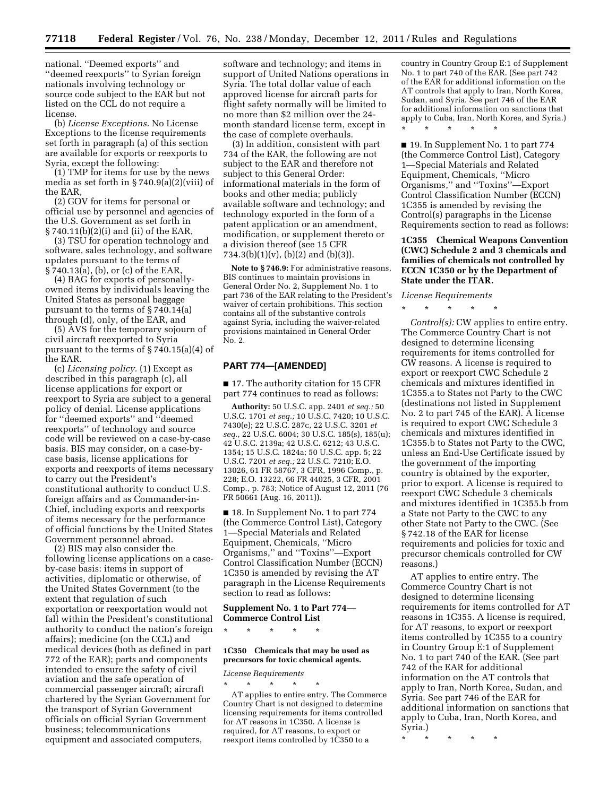national. ''Deemed exports'' and ''deemed reexports'' to Syrian foreign nationals involving technology or source code subject to the EAR but not listed on the CCL do not require a license.

(b) *License Exceptions.* No License Exceptions to the license requirements set forth in paragraph (a) of this section are available for exports or reexports to Syria, except the following:

(1) TMP for items for use by the news media as set forth in  $\S 740.9(a)(2)(viii)$  of the EAR,

(2) GOV for items for personal or official use by personnel and agencies of the U.S. Government as set forth in § 740.11(b)(2)(i) and (ii) of the EAR,

(3) TSU for operation technology and software, sales technology, and software updates pursuant to the terms of  $\S$  740.13(a), (b), or (c) of the EAR,

(4) BAG for exports of personallyowned items by individuals leaving the United States as personal baggage pursuant to the terms of § 740.14(a) through (d), only, of the EAR, and

(5) AVS for the temporary sojourn of civil aircraft reexported to Syria pursuant to the terms of § 740.15(a)(4) of the EAR.

(c) *Licensing policy.* (1) Except as described in this paragraph (c), all license applications for export or reexport to Syria are subject to a general policy of denial. License applications for ''deemed exports'' and ''deemed reexports'' of technology and source code will be reviewed on a case-by-case basis. BIS may consider, on a case-bycase basis, license applications for exports and reexports of items necessary to carry out the President's constitutional authority to conduct U.S. foreign affairs and as Commander-in-Chief, including exports and reexports of items necessary for the performance of official functions by the United States Government personnel abroad.

(2) BIS may also consider the following license applications on a caseby-case basis: items in support of activities, diplomatic or otherwise, of the United States Government (to the extent that regulation of such exportation or reexportation would not fall within the President's constitutional authority to conduct the nation's foreign affairs); medicine (on the CCL) and medical devices (both as defined in part 772 of the EAR); parts and components intended to ensure the safety of civil aviation and the safe operation of commercial passenger aircraft; aircraft chartered by the Syrian Government for the transport of Syrian Government officials on official Syrian Government business; telecommunications equipment and associated computers,

software and technology; and items in support of United Nations operations in Syria. The total dollar value of each approved license for aircraft parts for flight safety normally will be limited to no more than \$2 million over the 24 month standard license term, except in the case of complete overhauls.

(3) In addition, consistent with part 734 of the EAR, the following are not subject to the EAR and therefore not subject to this General Order: informational materials in the form of books and other media; publicly available software and technology; and technology exported in the form of a patent application or an amendment, modification, or supplement thereto or a division thereof (see 15 CFR 734.3(b)(1)(v), (b)(2) and (b)(3)).

**Note to § 746.9:** For administrative reasons, BIS continues to maintain provisions in General Order No. 2, Supplement No. 1 to part 736 of the EAR relating to the President's waiver of certain prohibitions. This section contains all of the substantive controls against Syria, including the waiver-related provisions maintained in General Order No. 2.

### **PART 774—[AMENDED]**

■ 17. The authority citation for 15 CFR part 774 continues to read as follows:

**Authority:** 50 U.S.C. app. 2401 *et seq.;* 50 U.S.C. 1701 *et seq.;* 10 U.S.C. 7420; 10 U.S.C. 7430(e); 22 U.S.C. 287c, 22 U.S.C. 3201 *et seq.,* 22 U.S.C. 6004; 30 U.S.C. 185(s), 185(u); 42 U.S.C. 2139a; 42 U.S.C. 6212; 43 U.S.C. 1354; 15 U.S.C. 1824a; 50 U.S.C. app. 5; 22 U.S.C. 7201 *et seq.;* 22 U.S.C. 7210; E.O. 13026, 61 FR 58767, 3 CFR, 1996 Comp., p. 228; E.O. 13222, 66 FR 44025, 3 CFR, 2001 Comp., p. 783; Notice of August 12, 2011 (76 FR 50661 (Aug. 16, 2011)).

■ 18. In Supplement No. 1 to part 774 (the Commerce Control List), Category 1—Special Materials and Related Equipment, Chemicals, ''Micro Organisms,'' and ''Toxins''—Export Control Classification Number (ECCN) 1C350 is amended by revising the AT paragraph in the License Requirements section to read as follows:

## **Supplement No. 1 to Part 774— Commerce Control List**

\* \* \* \* \*

### **1C350 Chemicals that may be used as precursors for toxic chemical agents.**

#### *License Requirements*  \* \* \* \* \*

AT applies to entire entry. The Commerce Country Chart is not designed to determine licensing requirements for items controlled for AT reasons in 1C350. A license is required, for AT reasons, to export or reexport items controlled by 1C350 to a

country in Country Group E:1 of Supplement No. 1 to part 740 of the EAR. (See part 742 of the EAR for additional information on the AT controls that apply to Iran, North Korea, Sudan, and Syria. See part 746 of the EAR for additional information on sanctions that apply to Cuba, Iran, North Korea, and Syria.) \* \* \* \* \*

■ 19. In Supplement No. 1 to part 774 (the Commerce Control List), Category 1—Special Materials and Related Equipment, Chemicals, ''Micro Organisms,'' and ''Toxins''—Export Control Classification Number (ECCN) 1C355 is amended by revising the Control(s) paragraphs in the License Requirements section to read as follows:

## **1C355 Chemical Weapons Convention (CWC) Schedule 2 and 3 chemicals and families of chemicals not controlled by ECCN 1C350 or by the Department of State under the ITAR.**

*License Requirements*  \* \* \* \* \*

*Control(s):* CW applies to entire entry. The Commerce Country Chart is not designed to determine licensing requirements for items controlled for CW reasons. A license is required to export or reexport CWC Schedule 2 chemicals and mixtures identified in 1C355.a to States not Party to the CWC (destinations not listed in Supplement No. 2 to part 745 of the EAR). A license is required to export CWC Schedule 3 chemicals and mixtures identified in 1C355.b to States not Party to the CWC, unless an End-Use Certificate issued by the government of the importing country is obtained by the exporter, prior to export. A license is required to reexport CWC Schedule 3 chemicals and mixtures identified in 1C355.b from a State not Party to the CWC to any other State not Party to the CWC. (See § 742.18 of the EAR for license requirements and policies for toxic and precursor chemicals controlled for CW reasons.)

AT applies to entire entry. The Commerce Country Chart is not designed to determine licensing requirements for items controlled for AT reasons in 1C355. A license is required, for AT reasons, to export or reexport items controlled by 1C355 to a country in Country Group E:1 of Supplement No. 1 to part 740 of the EAR. (See part 742 of the EAR for additional information on the AT controls that apply to Iran, North Korea, Sudan, and Syria. See part 746 of the EAR for additional information on sanctions that apply to Cuba, Iran, North Korea, and Syria.)

\* \* \* \* \*